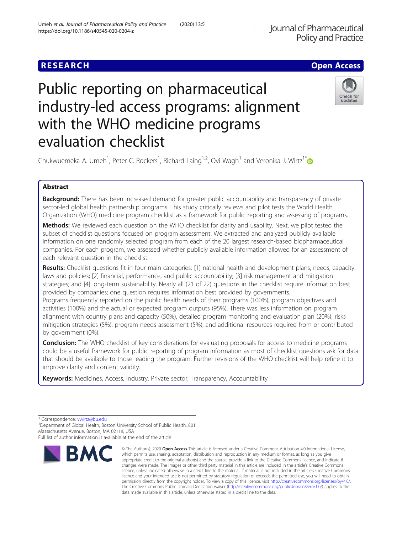# **RESEARCH CHE Open Access**

# Public reporting on pharmaceutical industry-led access programs: alignment with the WHO medicine programs evaluation checklist



Chukwuemeka A. Umeh<sup>1</sup>, Peter C. Rockers<sup>1</sup>, Richard Laing<sup>1,2</sup>, Ovi Wagh<sup>1</sup> and Veronika J. Wirtz<sup>1\*</sup>

# Abstract

Background: There has been increased demand for greater public accountability and transparency of private sector-led global health partnership programs. This study critically reviews and pilot tests the World Health Organization (WHO) medicine program checklist as a framework for public reporting and assessing of programs.

Methods: We reviewed each question on the WHO checklist for clarity and usability. Next, we pilot tested the subset of checklist questions focused on program assessment. We extracted and analyzed publicly available information on one randomly selected program from each of the 20 largest research-based biopharmaceutical companies. For each program, we assessed whether publicly available information allowed for an assessment of each relevant question in the checklist.

Results: Checklist questions fit in four main categories: [1] national health and development plans, needs, capacity, laws and policies; [2] financial, performance, and public accountability; [3] risk management and mitigation strategies; and [4] long-term sustainability. Nearly all (21 of 22) questions in the checklist require information best provided by companies; one question requires information best provided by governments. Programs frequently reported on the public health needs of their programs (100%), program objectives and activities (100%) and the actual or expected program outputs (95%). There was less information on program alignment with country plans and capacity (50%), detailed program monitoring and evaluation plan (20%), risks mitigation strategies (5%), program needs assessment (5%), and additional resources required from or contributed by government (0%).

**Conclusion:** The WHO checklist of key considerations for evaluating proposals for access to medicine programs could be a useful framework for public reporting of program information as most of checklist questions ask for data that should be available to those leading the program. Further revisions of the WHO checklist will help refine it to improve clarity and content validity.

Keywords: Medicines, Access, Industry, Private sector, Transparency, Accountability

\* Correspondence: [vwirtz@bu.edu](mailto:vwirtz@bu.edu) <sup>1</sup>

<sup>1</sup> Department of Global Health, Boston University School of Public Health, 801 Massachusetts Avenue, Boston, MA 02118, USA

Full list of author information is available at the end of the article



<sup>©</sup> The Author(s), 2020 **Open Access** This article is licensed under a Creative Commons Attribution 4.0 International License, which permits use, sharing, adaptation, distribution and reproduction in any medium or format, as long as you give appropriate credit to the original author(s) and the source, provide a link to the Creative Commons licence, and indicate if changes were made. The images or other third party material in this article are included in the article's Creative Commons licence, unless indicated otherwise in a credit line to the material. If material is not included in the article's Creative Commons licence and your intended use is not permitted by statutory regulation or exceeds the permitted use, you will need to obtain permission directly from the copyright holder. To view a copy of this licence, visit [http://creativecommons.org/licenses/by/4.0/.](http://creativecommons.org/licenses/by/4.0/) The Creative Commons Public Domain Dedication waiver [\(http://creativecommons.org/publicdomain/zero/1.0/](http://creativecommons.org/publicdomain/zero/1.0/)) applies to the data made available in this article, unless otherwise stated in a credit line to the data.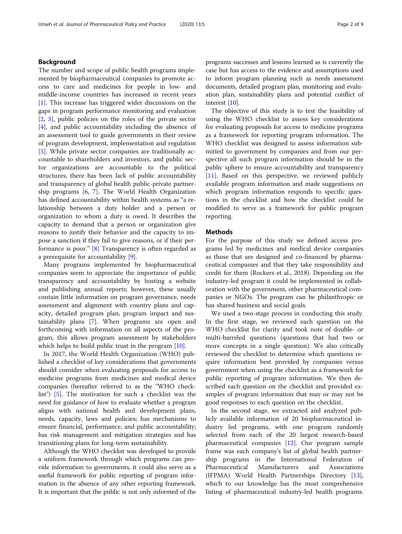#### Background

The number and scope of public health programs implemented by biopharmaceutical companies to promote access to care and medicines for people in low- and middle-income countries has increased in recent years [[1\]](#page-7-0). This increase has triggered wider discussions on the gaps in program performance monitoring and evaluation [[2,](#page-7-0) [3\]](#page-7-0), public policies on the roles of the private sector [[4\]](#page-7-0), and public accountability including the absence of an assessment tool to guide governments in their review of program development, implementation and regulation [[5\]](#page-7-0). While private sector companies are traditionally accountable to shareholders and investors, and public sector organizations are accountable to the political structures, there has been lack of public accountability and transparency of global health public-private partnership programs [\[6](#page-7-0), [7](#page-7-0)]. The World Health Organization has defined accountability within health systems as "a relationship between a duty holder and a person or organization to whom a duty is owed. It describes the capacity to demand that a person or organization give reasons to justify their behavior and the capacity to impose a sanction if they fail to give reasons, or if their performance is poor." [\[8](#page-7-0)] Transparency is often regarded as a prerequisite for accountability [[9\]](#page-7-0).

Many programs implemented by biopharmaceutical companies seem to appreciate the importance of public transparency and accountability by hosting a website and publishing annual reports; however, these usually contain little information on program governance, needs assessment and alignment with country plans and capacity, detailed program plan, program impact and sustainability plans [\[7\]](#page-7-0). When programs are open and forthcoming with information on all aspects of the program, this allows program assessment by stakeholders which helps to build public trust in the program [\[10\]](#page-7-0).

In 2017, the World Health Organization (WHO) published a checklist of key considerations that governments should consider when evaluating proposals for access to medicine programs from medicines and medical device companies (hereafter referred to as the "WHO checklist") [\[5\]](#page-7-0). The motivation for such a checklist was the need for guidance of how to evaluate whether a program aligns with national health and development plans, needs, capacity, laws and policies; has mechanisms to ensure financial, performance, and public accountability; has risk management and mitigation strategies and has transitioning plans for long-term sustainability.

Although the WHO checklist was developed to provide a uniform framework through which programs can provide information to governments, it could also serve as a useful framework for public reporting of program information in the absence of any other reporting framework. It is important that the public is not only informed of the programs successes and lessons learned as is currently the case but has access to the evidence and assumptions used to inform program planning such as needs assessment documents, detailed program plan, monitoring and evaluation plan, sustainability plans and potential conflict of interest [\[10\]](#page-7-0).

The objective of this study is to test the feasibility of using the WHO checklist to assess key considerations for evaluating proposals for access to medicine programs as a framework for reporting program information. The WHO checklist was designed to assess information submitted to government by companies and from our perspective all such program information should be in the public sphere to ensure accountability and transparency [[11\]](#page-7-0). Based on this perspective, we reviewed publicly available program information and made suggestions on which program information responds to specific questions in the checklist and how the checklist could be modified to serve as a framework for public program reporting.

#### **Methods**

For the purpose of this study we defined access programs led by medicines and medical device companies as those that are designed and co-financed by pharmaceutical companies and that they take responsibility and credit for them (Rockers et al., 2018). Depending on the industry-led program it could be implemented in collaboration with the government, other pharmaceutical companies or NGOs. The program can be philanthropic or has shared business and social goals.

We used a two-stage process in conducting this study. In the first stage, we reviewed each question on the WHO checklist for clarity and took note of double- or multi-barreled questions (questions that had two or more concepts in a single question). We also critically reviewed the checklist to determine which questions require information best provided by companies versus government when using the checklist as a framework for public reporting of program information. We then described each question on the checklist and provided examples of program information that may or may not be good responses to each question on the checklist.

In the second stage, we extracted and analyzed publicly available information of 20 biopharmaceutical industry led programs, with one program randomly selected from each of the 20 largest research-based pharmaceutical companies [[12](#page-7-0)]. Our program sample frame was each company's list of global health partnership programs in the International Federation of Pharmaceutical Manufacturers and Associations (IFPMA) World Health Partnerships Directory [\[13](#page-7-0)], which to our knowledge has the most comprehensive listing of pharmaceutical industry-led health programs.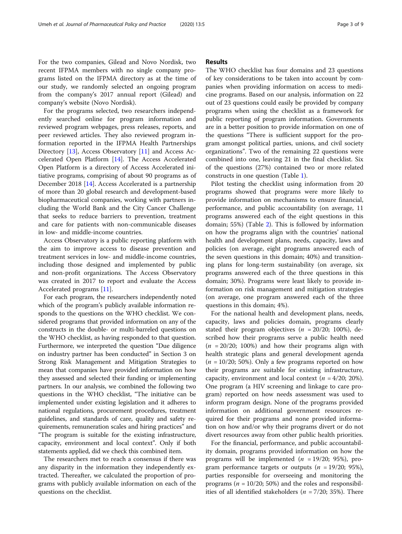For the two companies, Gilead and Novo Nordisk, two recent IFPMA members with no single company programs listed on the IFPMA directory as at the time of our study, we randomly selected an ongoing program from the company's 2017 annual report (Gilead) and company's website (Novo Nordisk).

For the programs selected, two researchers independently searched online for program information and reviewed program webpages, press releases, reports, and peer reviewed articles. They also reviewed program information reported in the IFPMA Health Partnerships Directory [\[13\]](#page-7-0), Access Observatory [[11\]](#page-7-0) and Access Accelerated Open Platform [\[14\]](#page-7-0). The Access Accelerated Open Platform is a directory of Access Accelerated initiative programs, comprising of about 90 programs as of December 2018 [\[14](#page-7-0)]. Access Accelerated is a partnership of more than 20 global research and development-based biopharmaceutical companies, working with partners including the World Bank and the City Cancer Challenge that seeks to reduce barriers to prevention, treatment and care for patients with non-communicable diseases in low- and middle-income countries.

Access Observatory is a public reporting platform with the aim to improve access to disease prevention and treatment services in low- and middle-income countries, including those designed and implemented by public and non-profit organizations. The Access Observatory was created in 2017 to report and evaluate the Access Accelerated programs [\[11](#page-7-0)].

For each program, the researchers independently noted which of the program's publicly available information responds to the questions on the WHO checklist. We considered programs that provided information on any of the constructs in the double- or multi-barreled questions on the WHO checklist, as having responded to that question. Furthermore, we interpreted the question "Due diligence on industry partner has been conducted" in Section 3 on Strong Risk Management and Mitigation Strategies to mean that companies have provided information on how they assessed and selected their funding or implementing partners. In our analysis, we combined the following two questions in the WHO checklist, "The initiative can be implemented under existing legislation and it adheres to national regulations, procurement procedures, treatment guidelines, and standards of care, quality and safety requirements, remuneration scales and hiring practices" and "The program is suitable for the existing infrastructure, capacity, environment and local context". Only if both statements applied, did we check this combined item.

The researchers met to reach a consensus if there was any disparity in the information they independently extracted. Thereafter, we calculated the proportion of programs with publicly available information on each of the questions on the checklist.

#### Results

The WHO checklist has four domains and 23 questions of key considerations to be taken into account by companies when providing information on access to medicine programs. Based on our analysis, information on 22 out of 23 questions could easily be provided by company programs when using the checklist as a framework for public reporting of program information. Governments are in a better position to provide information on one of the questions "There is sufficient support for the program amongst political parties, unions, and civil society organizations". Two of the remaining 22 questions were combined into one, leaving 21 in the final checklist. Six of the questions (27%) contained two or more related constructs in one question (Table [1\)](#page-3-0).

Pilot testing the checklist using information from 20 programs showed that programs were more likely to provide information on mechanisms to ensure financial, performance, and public accountability (on average, 11 programs answered each of the eight questions in this domain; 55%) (Table [2\)](#page-5-0). This is followed by information on how the programs align with the countries' national health and development plans, needs, capacity, laws and policies (on average, eight programs answered each of the seven questions in this domain; 40%) and transitioning plans for long-term sustainability (on average, six programs answered each of the three questions in this domain; 30%). Programs were least likely to provide information on risk management and mitigation strategies (on average, one program answered each of the three questions in this domain; 4%).

For the national health and development plans, needs, capacity, laws and policies domain, programs clearly stated their program objectives  $(n = 20/20; 100\%)$ , described how their programs serve a public health need  $(n = 20/20; 100%)$  and how their programs align with health strategic plans and general development agenda  $(n = 10/20; 50%)$ . Only a few programs reported on how their programs are suitable for existing infrastructure, capacity, environment and local context ( $n = 4/20$ ; 20%). One program (a HIV screening and linkage to care program) reported on how needs assessment was used to inform program design. None of the programs provided information on additional government resources required for their programs and none provided information on how and/or why their programs divert or do not divert resources away from other public health priorities.

For the financial, performance, and public accountability domain, programs provided information on how the programs will be implemented ( $n = 19/20$ ; 95%), program performance targets or outputs ( $n = 19/20$ ; 95%), parties responsible for overseeing and monitoring the programs ( $n = 10/20$ ; 50%) and the roles and responsibilities of all identified stakeholders ( $n = 7/20$ ; 35%). There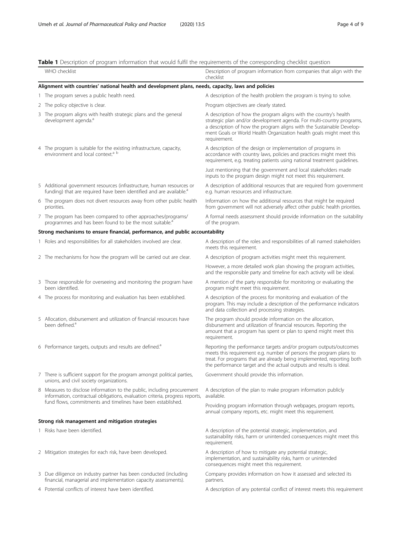## <span id="page-3-0"></span>Table 1 Description of program information that would fulfil the requirements of the corresponding checklist question

|  | WHO checklist                                                                                                                                                                                                           | Description of program information from companies that align with the<br>checklist                                                                                                                                                                                                                          |
|--|-------------------------------------------------------------------------------------------------------------------------------------------------------------------------------------------------------------------------|-------------------------------------------------------------------------------------------------------------------------------------------------------------------------------------------------------------------------------------------------------------------------------------------------------------|
|  | Alignment with countries' national health and development plans, needs, capacity, laws and policies                                                                                                                     |                                                                                                                                                                                                                                                                                                             |
|  | 1 The program serves a public health need.                                                                                                                                                                              | A description of the health problem the program is trying to solve.                                                                                                                                                                                                                                         |
|  | 2 The policy objective is clear.                                                                                                                                                                                        | Program objectives are clearly stated.                                                                                                                                                                                                                                                                      |
|  | 3 The program aligns with health strategic plans and the general<br>development agenda. <sup>a</sup>                                                                                                                    | A description of how the program aligns with the country's health<br>strategic plan and/or development agenda. For multi-country programs,<br>a description of how the program aligns with the Sustainable Develop-<br>ment Goals or World Health Organization health goals might meet this<br>requirement. |
|  | 4 The program is suitable for the existing infrastructure, capacity,<br>environment and local context. <sup>a b</sup>                                                                                                   | A description of the design or implementation of programs in<br>accordance with country laws, policies and practices might meet this<br>requirement, e.g. treating patients using national treatment quidelines.                                                                                            |
|  |                                                                                                                                                                                                                         | Just mentioning that the government and local stakeholders made<br>inputs to the program design might not meet this requirement.                                                                                                                                                                            |
|  | 5 Additional government resources (infrastructure, human resources or<br>funding) that are required have been identified and are available. <sup>a</sup>                                                                | A description of additional resources that are required from government<br>e.g. human resources and infrastructure.                                                                                                                                                                                         |
|  | 6 The program does not divert resources away from other public health<br>priorities.                                                                                                                                    | Information on how the additional resources that might be required<br>from government will not adversely affect other public health priorities.                                                                                                                                                             |
|  | 7 The program has been compared to other approaches/programs/<br>programmes and has been found to be the most suitable. <sup>a</sup>                                                                                    | A formal needs assessment should provide information on the suitability<br>of the program.                                                                                                                                                                                                                  |
|  | Strong mechanisms to ensure financial, performance, and public accountability                                                                                                                                           |                                                                                                                                                                                                                                                                                                             |
|  | 1 Roles and responsibilities for all stakeholders involved are clear.                                                                                                                                                   | A description of the roles and responsibilities of all named stakeholders<br>meets this requirement.                                                                                                                                                                                                        |
|  | 2 The mechanisms for how the program will be carried out are clear.                                                                                                                                                     | A description of program activities might meet this requirement.                                                                                                                                                                                                                                            |
|  |                                                                                                                                                                                                                         | However, a more detailed work plan showing the program activities,<br>and the responsible party and timeline for each activity will be ideal.                                                                                                                                                               |
|  | 3 Those responsible for overseeing and monitoring the program have<br>been identified.                                                                                                                                  | A mention of the party responsible for monitoring or evaluating the<br>program might meet this requirement.                                                                                                                                                                                                 |
|  | 4 The process for monitoring and evaluation has been established.                                                                                                                                                       | A description of the process for monitoring and evaluation of the<br>program. This may include a description of the performance indicators<br>and data collection and processing strategies.                                                                                                                |
|  | 5 Allocation, disbursement and utilization of financial resources have<br>been defined. <sup>a</sup>                                                                                                                    | The program should provide information on the allocation,<br>disbursement and utilization of financial resources. Reporting the<br>amount that a program has spent or plan to spend might meet this<br>requirement.                                                                                         |
|  | 6 Performance targets, outputs and results are defined. <sup>a</sup>                                                                                                                                                    | Reporting the performance targets and/or program outputs/outcomes<br>meets this requirement e.g. number of persons the program plans to<br>treat. For programs that are already being implemented, reporting both<br>the performance target and the actual outputs and results is ideal.                    |
|  | 7 There is sufficient support for the program amongst political parties,<br>unions, and civil society organizations.                                                                                                    | Government should provide this information.                                                                                                                                                                                                                                                                 |
|  | 8 Measures to disclose information to the public, including procurement<br>information, contractual obligations, evaluation criteria, progress reports,<br>fund flows, commitments and timelines have been established. | A description of the plan to make program information publicly<br>available.                                                                                                                                                                                                                                |
|  |                                                                                                                                                                                                                         | Providing program information through webpages, program reports,<br>annual company reports, etc. might meet this requirement.                                                                                                                                                                               |
|  | Strong risk management and mitigation strategies                                                                                                                                                                        |                                                                                                                                                                                                                                                                                                             |
|  | 1 Risks have been identified.                                                                                                                                                                                           | A description of the potential strategic, implementation, and<br>sustainability risks, harm or unintended consequences might meet this<br>requirement.                                                                                                                                                      |
|  | 2 Mitigation strategies for each risk, have been developed.                                                                                                                                                             | A description of how to mitigate any potential strategic,<br>implementation, and sustainability risks, harm or unintended<br>consequences might meet this requirement.                                                                                                                                      |
|  | 3 Due diligence on industry partner has been conducted (including<br>financial, managerial and implementation capacity assessments).                                                                                    | Company provides information on how it assessed and selected its<br>partners.                                                                                                                                                                                                                               |
|  | 4 Potential conflicts of interest have been identified.                                                                                                                                                                 | A description of any potential conflict of interest meets this requirement                                                                                                                                                                                                                                  |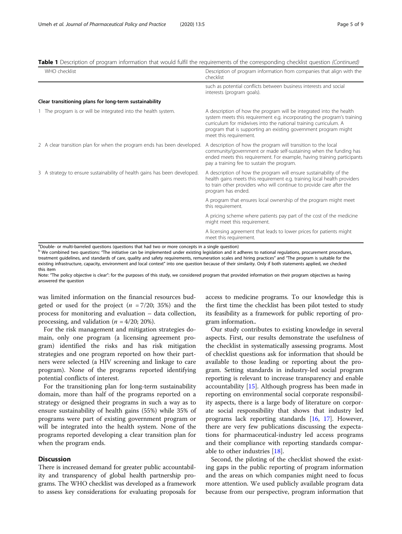#### Table 1 Description of program information that would fulfil the requirements of the corresponding checklist question (Continued)

| WHO checklist                                                             | Description of program information from companies that align with the<br>checklist                                                                                                                                                                                                                              |
|---------------------------------------------------------------------------|-----------------------------------------------------------------------------------------------------------------------------------------------------------------------------------------------------------------------------------------------------------------------------------------------------------------|
|                                                                           | such as potential conflicts between business interests and social<br>interests (program goals).                                                                                                                                                                                                                 |
| Clear transitioning plans for long-term sustainability                    |                                                                                                                                                                                                                                                                                                                 |
| The program is or will be integrated into the health system.              | A description of how the program will be integrated into the health<br>system meets this requirement e.g. incorporating the program's training<br>curriculum for midwives into the national training curriculum. A<br>program that is supporting an existing government program might<br>meet this requirement. |
| 2 A clear transition plan for when the program ends has been developed.   | A description of how the program will transition to the local<br>community/government or made self-sustaining when the funding has<br>ended meets this requirement. For example, having training participants<br>pay a training fee to sustain the program.                                                     |
| 3 A strategy to ensure sustainability of health gains has been developed. | A description of how the program will ensure sustainability of the<br>health gains meets this requirement e.g. training local health providers<br>to train other providers who will continue to provide care after the<br>program has ended.                                                                    |
|                                                                           | A program that ensures local ownership of the program might meet<br>this requirement.                                                                                                                                                                                                                           |
|                                                                           | A pricing scheme where patients pay part of the cost of the medicine<br>might meet this requirement.                                                                                                                                                                                                            |
|                                                                           | A licensing agreement that leads to lower prices for patients might<br>meet this requirement.                                                                                                                                                                                                                   |

<sup>a</sup>Double- or multi-barreled questions (questions that had two or more concepts in a single question)

<sup>b</sup> We combined two questions: "The initiative can be implemented under existing legislation and it adheres to national regulations, procurement procedures, treatment guidelines, and standards of care, quality and safety requirements, remuneration scales and hiring practices" and "The program is suitable for the existing infrastructure, capacity, environment and local context" into one question because of their similarity. Only if both statements applied, we checked this item

Note: "The policy objective is clear": for the purposes of this study, we considered program that provided information on their program objectives as having answered the question

was limited information on the financial resources budgeted or used for the project  $(n = 7/20; 35%)$  and the process for monitoring and evaluation – data collection, processing, and validation ( $n = 4/20$ ; 20%).

For the risk management and mitigation strategies domain, only one program (a licensing agreement program) identified the risks and has risk mitigation strategies and one program reported on how their partners were selected (a HIV screening and linkage to care program). None of the programs reported identifying potential conflicts of interest.

For the transitioning plan for long-term sustainability domain, more than half of the programs reported on a strategy or designed their programs in such a way as to ensure sustainability of health gains (55%) while 35% of programs were part of existing government program or will be integrated into the health system. None of the programs reported developing a clear transition plan for when the program ends.

#### **Discussion**

There is increased demand for greater public accountability and transparency of global health partnership programs. The WHO checklist was developed as a framework to assess key considerations for evaluating proposals for access to medicine programs. To our knowledge this is the first time the checklist has been pilot tested to study its feasibility as a framework for public reporting of program information..

Our study contributes to existing knowledge in several aspects. First, our results demonstrate the usefulness of the checklist in systematically assessing programs. Most of checklist questions ask for information that should be available to those leading or reporting about the program. Setting standards in industry-led social program reporting is relevant to increase transparency and enable accountability [\[15\]](#page-7-0). Although progress has been made in reporting on environmental social corporate responsibility aspects, there is a large body of literature on corporate social responsibility that shows that industry led programs lack reporting standards [[16,](#page-7-0) [17](#page-7-0)]. However, there are very few publications discussing the expectations for pharmaceutical-industry led access programs and their compliance with reporting standards comparable to other industries [[18\]](#page-7-0).

Second, the piloting of the checklist showed the existing gaps in the public reporting of program information and the areas on which companies might need to focus more attention. We used publicly available program data because from our perspective, program information that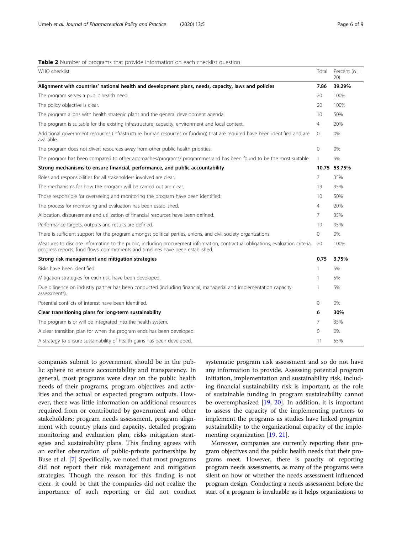#### <span id="page-5-0"></span>Table 2 Number of programs that provide information on each checklist question

| WHO checklist                                                                                                                                                                                                      | Total          | Percent $(N =$<br>20) |
|--------------------------------------------------------------------------------------------------------------------------------------------------------------------------------------------------------------------|----------------|-----------------------|
| Alignment with countries' national health and development plans, needs, capacity, laws and policies                                                                                                                | 7.86           | 39.29%                |
| The program serves a public health need.                                                                                                                                                                           | 20             | 100%                  |
| The policy objective is clear.                                                                                                                                                                                     | 20             | 100%                  |
| The program aligns with health strategic plans and the general development agenda.                                                                                                                                 | 10             | 50%                   |
| The program is suitable for the existing infrastructure, capacity, environment and local context.                                                                                                                  | $\overline{4}$ | 20%                   |
| Additional government resources (infrastructure, human resources or funding) that are required have been identified and are<br>available.                                                                          | $\mathbf{0}$   | 0%                    |
| The program does not divert resources away from other public health priorities.                                                                                                                                    | $\mathbf{0}$   | 0%                    |
| The program has been compared to other approaches/programs/ programmes and has been found to be the most suitable.                                                                                                 | $\overline{1}$ | 5%                    |
| Strong mechanisms to ensure financial, performance, and public accountability<br>10.75 53.75%                                                                                                                      |                |                       |
| Roles and responsibilities for all stakeholders involved are clear.                                                                                                                                                | $\overline{7}$ | 35%                   |
| The mechanisms for how the program will be carried out are clear.                                                                                                                                                  | 19             | 95%                   |
| Those responsible for overseeing and monitoring the program have been identified.                                                                                                                                  | 10             | 50%                   |
| The process for monitoring and evaluation has been established.                                                                                                                                                    | $\overline{4}$ | 20%                   |
| Allocation, disbursement and utilization of financial resources have been defined.                                                                                                                                 | 7              | 35%                   |
| Performance targets, outputs and results are defined.                                                                                                                                                              | 19             | 95%                   |
| There is sufficient support for the program amongst political parties, unions, and civil society organizations.                                                                                                    | $\mathbf{0}$   | 0%                    |
| Measures to disclose information to the public, including procurement information, contractual obligations, evaluation criteria,<br>progress reports, fund flows, commitments and timelines have been established. | 20             | 100%                  |
| Strong risk management and mitigation strategies<br>0.75                                                                                                                                                           |                | 3.75%                 |
| Risks have been identified.                                                                                                                                                                                        | 1              | 5%                    |
| Mitigation strategies for each risk, have been developed.                                                                                                                                                          | 1              | 5%                    |
| Due diligence on industry partner has been conducted (including financial, managerial and implementation capacity<br>assessments).                                                                                 | 1              | 5%                    |
| Potential conflicts of interest have been identified.                                                                                                                                                              | $\Omega$       | 0%                    |
| Clear transitioning plans for long-term sustainability<br>6                                                                                                                                                        |                | 30%                   |
| The program is or will be integrated into the health system.                                                                                                                                                       | $\overline{7}$ | 35%                   |
| A clear transition plan for when the program ends has been developed.                                                                                                                                              | $\Omega$       | 0%                    |
| A strategy to ensure sustainability of health gains has been developed.                                                                                                                                            | 11             | 55%                   |

companies submit to government should be in the public sphere to ensure accountability and transparency. In general, most programs were clear on the public health needs of their programs, program objectives and activities and the actual or expected program outputs. However, there was little information on additional resources required from or contributed by government and other stakeholders; program needs assessment, program alignment with country plans and capacity, detailed program monitoring and evaluation plan, risks mitigation strategies and sustainability plans. This finding agrees with an earlier observation of public-private partnerships by Buse et al. [[7\]](#page-7-0) Specifically, we noted that most programs did not report their risk management and mitigation strategies. Though the reason for this finding is not clear, it could be that the companies did not realize the importance of such reporting or did not conduct systematic program risk assessment and so do not have any information to provide. Assessing potential program initiation, implementation and sustainability risk, including financial sustainability risk is important, as the role of sustainable funding in program sustainability cannot be overemphasized [[19](#page-7-0), [20](#page-8-0)]. In addition, it is important to assess the capacity of the implementing partners to implement the programs as studies have linked program sustainability to the organizational capacity of the implementing organization [\[19](#page-7-0), [21](#page-8-0)].

Moreover, companies are currently reporting their program objectives and the public health needs that their programs meet. However, there is paucity of reporting program needs assessments, as many of the programs were silent on how or whether the needs assessment influenced program design. Conducting a needs assessment before the start of a program is invaluable as it helps organizations to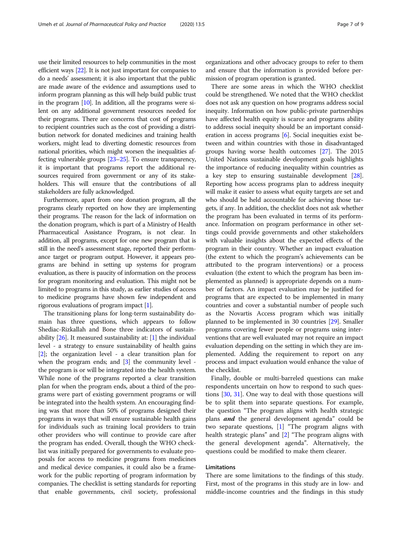use their limited resources to help communities in the most efficient ways [[22](#page-8-0)]. It is not just important for companies to do a needs' assessment; it is also important that the public are made aware of the evidence and assumptions used to inform program planning as this will help build public trust in the program [\[10\]](#page-7-0). In addition, all the programs were silent on any additional government resources needed for their programs. There are concerns that cost of programs to recipient countries such as the cost of providing a distribution network for donated medicines and training health workers, might lead to diverting domestic resources from national priorities, which might worsen the inequalities affecting vulnerable groups [\[23](#page-8-0)–[25\]](#page-8-0). To ensure transparency, it is important that programs report the additional resources required from government or any of its stakeholders. This will ensure that the contributions of all stakeholders are fully acknowledged.

Furthermore, apart from one donation program, all the programs clearly reported on how they are implementing their programs. The reason for the lack of information on the donation program, which is part of a Ministry of Health Pharmaceutical Assistance Program, is not clear. In addition, all programs, except for one new program that is still in the need's assessment stage, reported their performance target or program output. However, it appears programs are behind in setting up systems for program evaluation, as there is paucity of information on the process for program monitoring and evaluation. This might not be limited to programs in this study, as earlier studies of access to medicine programs have shown few independent and rigorous evaluations of program impact [\[1\]](#page-7-0).

The transitioning plans for long-term sustainability domain has three questions, which appears to follow Shediac-Rizkallah and Bone three indicators of sustainability  $[26]$  $[26]$  $[26]$ . It measured sustainability at:  $[1]$  $[1]$  the individual level - a strategy to ensure sustainability of health gains [[2\]](#page-7-0); the organization level - a clear transition plan for when the program ends; and [\[3](#page-7-0)] the community level the program is or will be integrated into the health system. While none of the programs reported a clear transition plan for when the program ends, about a third of the programs were part of existing government programs or will be integrated into the health system. An encouraging finding was that more than 50% of programs designed their programs in ways that will ensure sustainable health gains for individuals such as training local providers to train other providers who will continue to provide care after the program has ended. Overall, though the WHO checklist was initially prepared for governments to evaluate proposals for access to medicine programs from medicines and medical device companies, it could also be a framework for the public reporting of program information by companies. The checklist is setting standards for reporting that enable governments, civil society, professional

organizations and other advocacy groups to refer to them and ensure that the information is provided before permission of program operation is granted.

There are some areas in which the WHO checklist could be strengthened. We noted that the WHO checklist does not ask any question on how programs address social inequity. Information on how public-private partnerships have affected health equity is scarce and programs ability to address social inequity should be an important consideration in access programs [[6\]](#page-7-0). Social inequities exist between and within countries with those in disadvantaged groups having worse health outcomes [[27\]](#page-8-0). The 2015 United Nations sustainable development goals highlights the importance of reducing inequality within countries as a key step to ensuring sustainable development [[28](#page-8-0)]. Reporting how access programs plan to address inequity will make it easier to assess what equity targets are set and who should be held accountable for achieving those targets, if any. In addition, the checklist does not ask whether the program has been evaluated in terms of its performance. Information on program performance in other settings could provide governments and other stakeholders with valuable insights about the expected effects of the program in their country. Whether an impact evaluation (the extent to which the program's achievements can be attributed to the program interventions) or a process evaluation (the extent to which the program has been implemented as planned) is appropriate depends on a number of factors. An impact evaluation may be justified for programs that are expected to be implemented in many countries and cover a substantial number of people such as the Novartis Access program which was initially planned to be implemented in 30 countries [[29\]](#page-8-0). Smaller programs covering fewer people or programs using interventions that are well evaluated may not require an impact evaluation depending on the setting in which they are implemented. Adding the requirement to report on any process and impact evaluation would enhance the value of the checklist.

Finally, double or multi-barreled questions can make respondents uncertain on how to respond to such questions [\[30](#page-8-0), [31](#page-8-0)]. One way to deal with those questions will be to split them into separate questions. For example, the question "The program aligns with health strategic plans **and** the general development agenda" could be two separate questions, [\[1](#page-7-0)] "The program aligns with health strategic plans" and [[2\]](#page-7-0) "The program aligns with the general development agenda". Alternatively, the questions could be modified to make them clearer.

#### Limitations

There are some limitations to the findings of this study. First, most of the programs in this study are in low- and middle-income countries and the findings in this study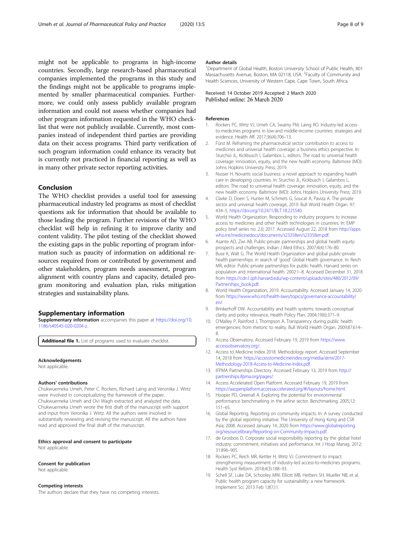<span id="page-7-0"></span>might not be applicable to programs in high-income countries. Secondly, large research-based pharmaceutical companies implemented the programs in this study and the findings might not be applicable to programs implemented by smaller pharmaceutical companies. Furthermore, we could only assess publicly available program information and could not assess whether companies had other program information requested in the WHO checklist that were not publicly available. Currently, most companies instead of independent third parties are providing data on their access programs. Third party verification of such program information could enhance its veracity but is currently not practiced in financial reporting as well as in many other private sector reporting activities.

### Conclusion

The WHO checklist provides a useful tool for assessing pharmaceutical industry led programs as most of checklist questions ask for information that should be available to those leading the program. Further revisions of the WHO checklist will help in refining it to improve clarity and content validity. The pilot testing of the checklist showed the existing gaps in the public reporting of program information such as paucity of information on additional resources required from or contributed by government and other stakeholders, program needs assessment, program alignment with country plans and capacity, detailed program monitoring and evaluation plan, risks mitigation strategies and sustainability plans.

#### Supplementary information

Supplementary information accompanies this paper at [https://doi.org/10.](https://doi.org/10.1186/s40545-020-0204-z) [1186/s40545-020-0204-z](https://doi.org/10.1186/s40545-020-0204-z).

Additional file 1. List of programs used to evaluate checklist.

#### Acknowledgements

Not applicable.

#### Authors' contributions

Chukwuemeka Umeh, Peter C. Rockers, Richard Laing and Veronika J. Wirtz were involved in conceptualizing the framework of the paper. Chukwuemeka Umeh and Ovi Wagh extracted and analyzed the data. Chukwuemeka Umeh wrote the first draft of the manuscript with support and input from Veronika J. Wirtz. All the authors were involved in substantially reviewing and revising the manuscript. All the authors have read and approved the final draft of the manuscript.

#### Ethics approval and consent to participate

Not applicable.

#### Consent for publication

Not applicable.

#### Competing interests

The authors declare that they have no competing interests.

#### Author details

<sup>1</sup>Department of Global Health, Boston University School of Public Health, 801 Massachusetts Avenue, Boston, MA 02118, USA. <sup>2</sup> Faculty of Community and Health Sciences, University of Western Cape, Cape Town, South Africa.

#### Received: 14 October 2019 Accepted: 2 March 2020 Published online: 26 March 2020

#### References

- 1. Rockers PC, Wirtz VJ, Umeh CA, Swamy PM, Laing RO. Industry-led accessto-medicines programs in low-and middle-income countries: strategies and evidence. Health Aff. 2017;36(4):706–13.
- 2. Fürst M. Reframing the pharmaceutical sector contribution to access to medicines and universal health coverage: a business ethics perspective. In: Sturchio JL, Kickbusch I, Galambos L, editors. The road to universal health coverage: innovation, equity, and the new health economy. Baltimore (MD): Johns Hopkins University Press; 2019.
- 3. Nusser H. Novartis social business: a novel approach to expanding health care in developing countries. In: Sturchio JL, Kickbusch I, Galambos L, editors. The road to universal health coverage: innovation, equity, and the new health economy. Baltimore (MD): Johns Hopkins University Press; 2019.
- 4. Clarke D, Doerr S, Hunter M, Schmets G, Soucat A, Paviza A. The private sector and universal health coverage, 2019. Bull World Health Organ. 97: 434–5. <https://doi.org/10.2471/BLT.18.225540>.
- 5. World Health Organization. Responding to industry programs to increase access to medicines and other health technologies in countries. In: EMP policy brief series no. 2.0; 2017. Accessed August 22, 2018 from [http://apps.](http://apps.who.int/medicinedocs/documents/s23358en/s23358en.pdf) [who.int/medicinedocs/documents/s23358en/s23358en.pdf](http://apps.who.int/medicinedocs/documents/s23358en/s23358en.pdf).
- 6. Asante AD, Zwi AB. Public-private partnerships and global health equity: prospects and challenges. Indian J Med Ethics. 2007;4(4):176–80.
- 7. Buse K, Walt G. The World Health Organization and global public-private health partnerships: in search of 'good' Global Health governance. In: Reich MR, editor. Public-private partnerships for public health. Harvard series on population and international health. 2002:1–8. Accessed December 31, 2018 from [https://cdn1.sph.harvard.edu/wp-content/uploads/sites/480/2012/09/](https://cdn1.sph.harvard.edu/wp-content/uploads/sites/480/2012/09/Partnerships_book.pdf) [Partnerships\\_book.pdf](https://cdn1.sph.harvard.edu/wp-content/uploads/sites/480/2012/09/Partnerships_book.pdf).
- 8. World Health Organization, 2019. Accountability. Accessed January 14, 2020 from [https://www.who.int/health-laws/topics/governance-accountability/](https://www.who.int/health-laws/topics/governance-accountability/en/) [en/](https://www.who.int/health-laws/topics/governance-accountability/en/).
- 9. Brinkerhoff DW. Accountability and health systems: towards conceptual clarity and policy relevance. Health Policy Plan. 2004;19(6):371–9.
- 10. O'Malley P, Rainford J, Thompson A. Transparency during public health emergencies: from rhetoric to reality. Bull World Health Organ. 2009;87:614– 8.
- 11. Access Observatory. Accessed February 19, 2019 from [https://www.](https://www.accessobservatory.org/) [accessobservatory.org/](https://www.accessobservatory.org/).
- 12. Access to Medicine Index 2018. Methodology report. Accessed September 14, 2018 from [https://accesstomedicineindex.org/media/atmi/2017-](https://accesstomedicineindex.org/media/atmi/2017-Methodology-2018-Access-to-Medicine-Index.pdf) [Methodology-2018-Access-to-Medicine-Index.pdf.](https://accesstomedicineindex.org/media/atmi/2017-Methodology-2018-Access-to-Medicine-Index.pdf)
- 13. IFPMA Partnerships Directory. Accessed February 13, 2019 from [http://](http://partnerships.ifpma.org/pages/) [partnerships.ifpma.org/pages/.](http://partnerships.ifpma.org/pages/)
- 14. Access Accelerated Open Platform. Accessed February 19, 2019 from https://aaopenplatform.accessaccelerated.org/#!/layouts/home.html.
- 15. Hooper PD, Greenall A. Exploring the potential for environmental performance benchmarking in the airline sector. Benchmarking. 2005;12: 151–65.
- 16. Global Reporting. Reporting on community impacts. In: A survey conducted by the global reporting initiative: The University of Hong Kong and CSR Asia; 2008. Accessed January 14, 2020 from [https://www.globalreporting.](https://www.globalreporting.org/resourcelibrary/Reporting-on-Community-Impacts.pdf) [org/resourcelibrary/Reporting-on-Community-Impacts.pdf](https://www.globalreporting.org/resourcelibrary/Reporting-on-Community-Impacts.pdf).
- 17. de Grosbois D. Corporate social responsibility reporting by the global hotel industry: commitment, initiatives and performance. Int J Hosp Manag. 2012; 31:896–905.
- 18. Rockers PC, Reich MR, Kettler H, Wirtz VJ. Commitment to impact: strengthening measurement of industry-led access-to-medicines programs. Health Syst Reform. 2018;4(3):188–93.
- 19. Schell SF, Luke DA, Schooley MW, Elliott MB, Herbers SH, Mueller NB, et al. Public health program capacity for sustainability: a new framework. Implement Sci. 2013 Feb 1;8(1):1.